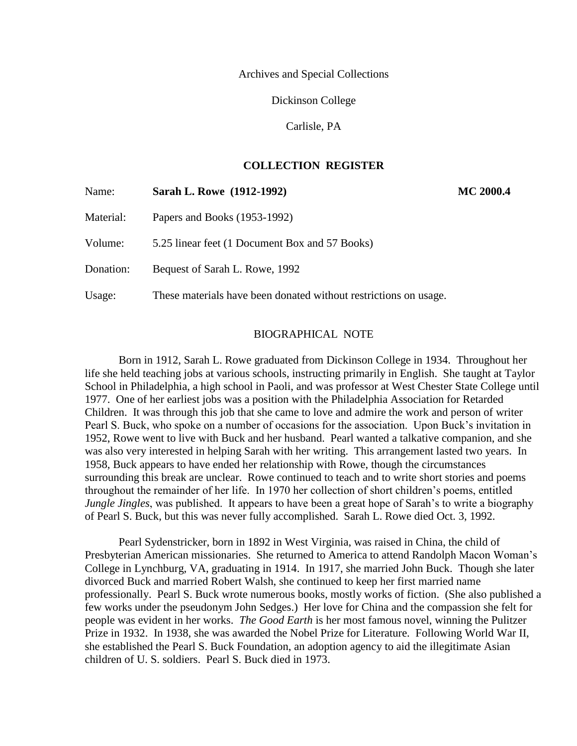Archives and Special Collections

Dickinson College

Carlisle, PA

# **COLLECTION REGISTER**

| Name:     | Sarah L. Rowe (1912-1992)                                        | <b>MC 2000.4</b> |  |
|-----------|------------------------------------------------------------------|------------------|--|
| Material: | Papers and Books (1953-1992)                                     |                  |  |
| Volume:   | 5.25 linear feet (1 Document Box and 57 Books)                   |                  |  |
| Donation: | Bequest of Sarah L. Rowe, 1992                                   |                  |  |
| Usage:    | These materials have been donated without restrictions on usage. |                  |  |

## BIOGRAPHICAL NOTE

Born in 1912, Sarah L. Rowe graduated from Dickinson College in 1934. Throughout her life she held teaching jobs at various schools, instructing primarily in English. She taught at Taylor School in Philadelphia, a high school in Paoli, and was professor at West Chester State College until 1977. One of her earliest jobs was a position with the Philadelphia Association for Retarded Children. It was through this job that she came to love and admire the work and person of writer Pearl S. Buck, who spoke on a number of occasions for the association. Upon Buck's invitation in 1952, Rowe went to live with Buck and her husband. Pearl wanted a talkative companion, and she was also very interested in helping Sarah with her writing. This arrangement lasted two years. In 1958, Buck appears to have ended her relationship with Rowe, though the circumstances surrounding this break are unclear. Rowe continued to teach and to write short stories and poems throughout the remainder of her life. In 1970 her collection of short children's poems, entitled *Jungle Jingles*, was published. It appears to have been a great hope of Sarah's to write a biography of Pearl S. Buck, but this was never fully accomplished. Sarah L. Rowe died Oct. 3, 1992.

Pearl Sydenstricker, born in 1892 in West Virginia, was raised in China, the child of Presbyterian American missionaries. She returned to America to attend Randolph Macon Woman's College in Lynchburg, VA, graduating in 1914. In 1917, she married John Buck. Though she later divorced Buck and married Robert Walsh, she continued to keep her first married name professionally. Pearl S. Buck wrote numerous books, mostly works of fiction. (She also published a few works under the pseudonym John Sedges.) Her love for China and the compassion she felt for people was evident in her works. *The Good Earth* is her most famous novel, winning the Pulitzer Prize in 1932. In 1938, she was awarded the Nobel Prize for Literature. Following World War II, she established the Pearl S. Buck Foundation, an adoption agency to aid the illegitimate Asian children of U. S. soldiers. Pearl S. Buck died in 1973.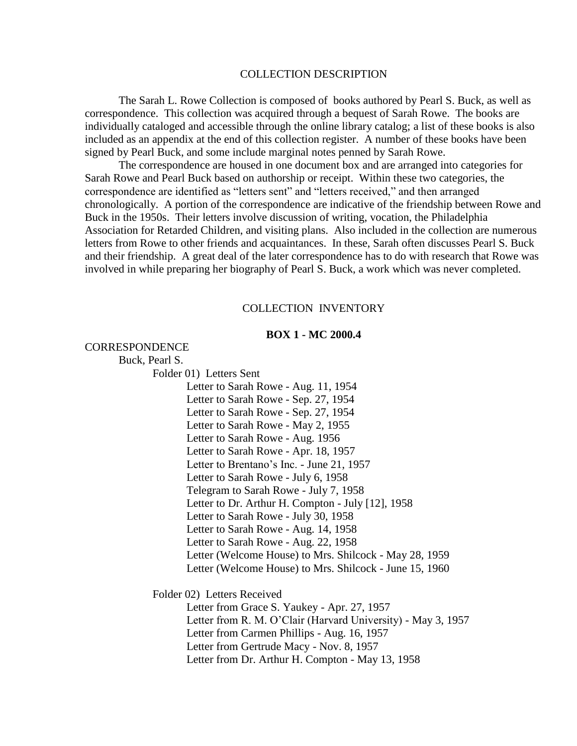#### COLLECTION DESCRIPTION

The Sarah L. Rowe Collection is composed of books authored by Pearl S. Buck, as well as correspondence. This collection was acquired through a bequest of Sarah Rowe. The books are individually cataloged and accessible through the online library catalog; a list of these books is also included as an appendix at the end of this collection register. A number of these books have been signed by Pearl Buck, and some include marginal notes penned by Sarah Rowe.

The correspondence are housed in one document box and are arranged into categories for Sarah Rowe and Pearl Buck based on authorship or receipt. Within these two categories, the correspondence are identified as "letters sent" and "letters received," and then arranged chronologically. A portion of the correspondence are indicative of the friendship between Rowe and Buck in the 1950s. Their letters involve discussion of writing, vocation, the Philadelphia Association for Retarded Children, and visiting plans. Also included in the collection are numerous letters from Rowe to other friends and acquaintances. In these, Sarah often discusses Pearl S. Buck and their friendship. A great deal of the later correspondence has to do with research that Rowe was involved in while preparing her biography of Pearl S. Buck, a work which was never completed.

#### COLLECTION INVENTORY

### **BOX 1 - MC 2000.4**

CORRESPONDENCE

Buck, Pearl S.

Folder 01) Letters Sent

Letter to Sarah Rowe - Aug. 11, 1954 Letter to Sarah Rowe - Sep. 27, 1954 Letter to Sarah Rowe - Sep. 27, 1954 Letter to Sarah Rowe - May 2, 1955 Letter to Sarah Rowe - Aug. 1956 Letter to Sarah Rowe - Apr. 18, 1957 Letter to Brentano's Inc. - June 21, 1957 Letter to Sarah Rowe - July 6, 1958 Telegram to Sarah Rowe - July 7, 1958 Letter to Dr. Arthur H. Compton - July [12], 1958 Letter to Sarah Rowe - July 30, 1958 Letter to Sarah Rowe - Aug. 14, 1958 Letter to Sarah Rowe - Aug. 22, 1958 Letter (Welcome House) to Mrs. Shilcock - May 28, 1959 Letter (Welcome House) to Mrs. Shilcock - June 15, 1960

Folder 02) Letters Received

Letter from Grace S. Yaukey - Apr. 27, 1957 Letter from R. M. O'Clair (Harvard University) - May 3, 1957 Letter from Carmen Phillips - Aug. 16, 1957 Letter from Gertrude Macy - Nov. 8, 1957 Letter from Dr. Arthur H. Compton - May 13, 1958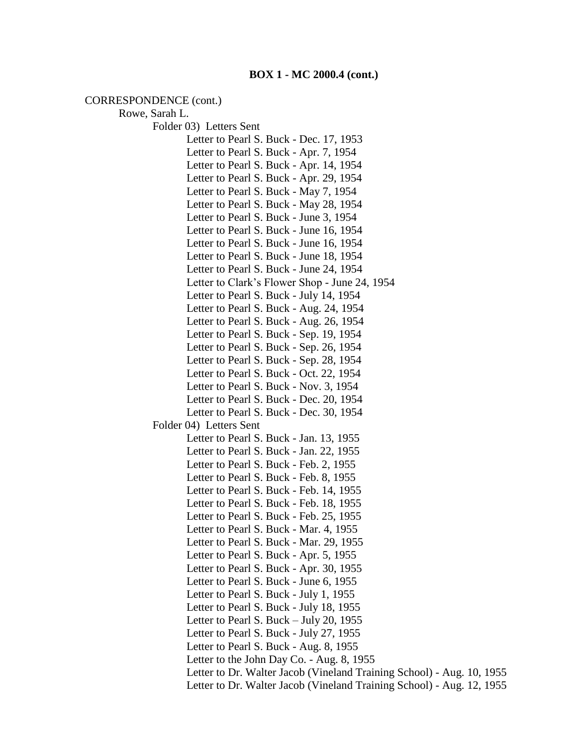CORRESPONDENCE (cont.)

Rowe, Sarah L. Folder 03) Letters Sent Letter to Pearl S. Buck - Dec. 17, 1953 Letter to Pearl S. Buck - Apr. 7, 1954 Letter to Pearl S. Buck - Apr. 14, 1954 Letter to Pearl S. Buck - Apr. 29, 1954 Letter to Pearl S. Buck - May 7, 1954 Letter to Pearl S. Buck - May 28, 1954 Letter to Pearl S. Buck - June 3, 1954 Letter to Pearl S. Buck - June 16, 1954 Letter to Pearl S. Buck - June 16, 1954 Letter to Pearl S. Buck - June 18, 1954 Letter to Pearl S. Buck - June 24, 1954 Letter to Clark's Flower Shop - June 24, 1954 Letter to Pearl S. Buck - July 14, 1954 Letter to Pearl S. Buck - Aug. 24, 1954 Letter to Pearl S. Buck - Aug. 26, 1954 Letter to Pearl S. Buck - Sep. 19, 1954 Letter to Pearl S. Buck - Sep. 26, 1954 Letter to Pearl S. Buck - Sep. 28, 1954 Letter to Pearl S. Buck - Oct. 22, 1954 Letter to Pearl S. Buck - Nov. 3, 1954 Letter to Pearl S. Buck - Dec. 20, 1954 Letter to Pearl S. Buck - Dec. 30, 1954 Folder 04) Letters Sent Letter to Pearl S. Buck - Jan. 13, 1955 Letter to Pearl S. Buck - Jan. 22, 1955 Letter to Pearl S. Buck - Feb. 2, 1955 Letter to Pearl S. Buck - Feb. 8, 1955 Letter to Pearl S. Buck - Feb. 14, 1955 Letter to Pearl S. Buck - Feb. 18, 1955 Letter to Pearl S. Buck - Feb. 25, 1955 Letter to Pearl S. Buck - Mar. 4, 1955 Letter to Pearl S. Buck - Mar. 29, 1955 Letter to Pearl S. Buck - Apr. 5, 1955 Letter to Pearl S. Buck - Apr. 30, 1955 Letter to Pearl S. Buck - June 6, 1955 Letter to Pearl S. Buck - July 1, 1955 Letter to Pearl S. Buck - July 18, 1955 Letter to Pearl S. Buck – July 20, 1955 Letter to Pearl S. Buck - July 27, 1955 Letter to Pearl S. Buck - Aug. 8, 1955 Letter to the John Day Co. - Aug. 8, 1955 Letter to Dr. Walter Jacob (Vineland Training School) - Aug. 10, 1955 Letter to Dr. Walter Jacob (Vineland Training School) - Aug. 12, 1955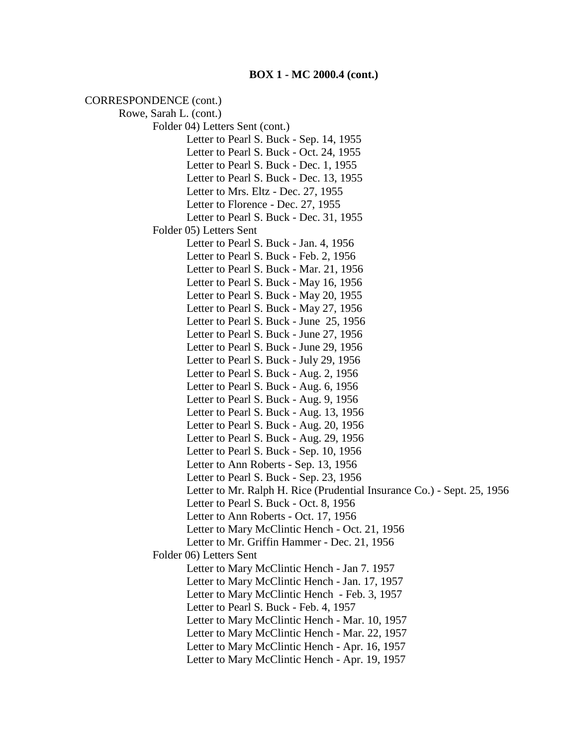CORRESPONDENCE (cont.) Rowe, Sarah L. (cont.) Folder 04) Letters Sent (cont.) Letter to Pearl S. Buck - Sep. 14, 1955 Letter to Pearl S. Buck - Oct. 24, 1955 Letter to Pearl S. Buck - Dec. 1, 1955 Letter to Pearl S. Buck - Dec. 13, 1955 Letter to Mrs. Eltz - Dec. 27, 1955 Letter to Florence - Dec. 27, 1955 Letter to Pearl S. Buck - Dec. 31, 1955 Folder 05) Letters Sent Letter to Pearl S. Buck - Jan. 4, 1956 Letter to Pearl S. Buck - Feb. 2, 1956 Letter to Pearl S. Buck - Mar. 21, 1956 Letter to Pearl S. Buck - May 16, 1956 Letter to Pearl S. Buck - May 20, 1955 Letter to Pearl S. Buck - May 27, 1956 Letter to Pearl S. Buck - June 25, 1956 Letter to Pearl S. Buck - June 27, 1956 Letter to Pearl S. Buck - June 29, 1956 Letter to Pearl S. Buck - July 29, 1956 Letter to Pearl S. Buck - Aug. 2, 1956 Letter to Pearl S. Buck - Aug. 6, 1956 Letter to Pearl S. Buck - Aug. 9, 1956 Letter to Pearl S. Buck - Aug. 13, 1956 Letter to Pearl S. Buck - Aug. 20, 1956 Letter to Pearl S. Buck - Aug. 29, 1956 Letter to Pearl S. Buck - Sep. 10, 1956 Letter to Ann Roberts - Sep. 13, 1956 Letter to Pearl S. Buck - Sep. 23, 1956 Letter to Mr. Ralph H. Rice (Prudential Insurance Co.) - Sept. 25, 1956 Letter to Pearl S. Buck - Oct. 8, 1956 Letter to Ann Roberts - Oct. 17, 1956 Letter to Mary McClintic Hench - Oct. 21, 1956 Letter to Mr. Griffin Hammer - Dec. 21, 1956 Folder 06) Letters Sent Letter to Mary McClintic Hench - Jan 7. 1957 Letter to Mary McClintic Hench - Jan. 17, 1957 Letter to Mary McClintic Hench - Feb. 3, 1957 Letter to Pearl S. Buck - Feb. 4, 1957 Letter to Mary McClintic Hench - Mar. 10, 1957 Letter to Mary McClintic Hench - Mar. 22, 1957 Letter to Mary McClintic Hench - Apr. 16, 1957 Letter to Mary McClintic Hench - Apr. 19, 1957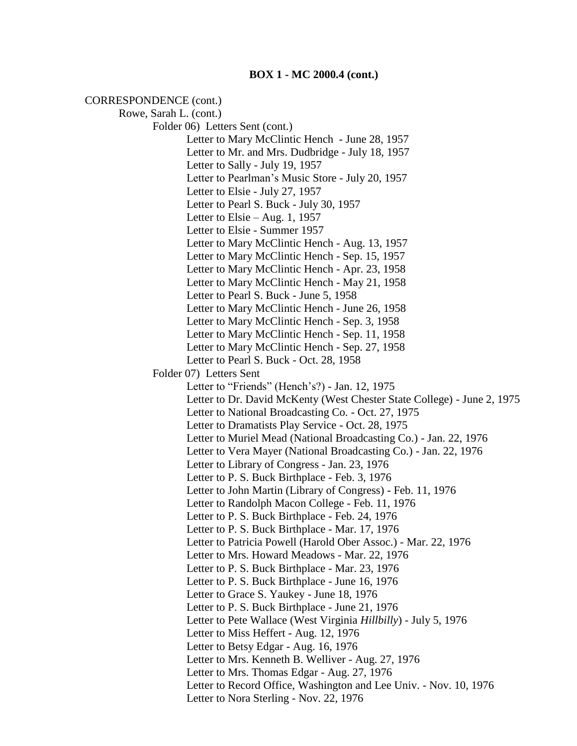CORRESPONDENCE (cont.) Rowe, Sarah L. (cont.) Folder 06) Letters Sent (cont.) Letter to Mary McClintic Hench - June 28, 1957 Letter to Mr. and Mrs. Dudbridge - July 18, 1957 Letter to Sally - July 19, 1957 Letter to Pearlman's Music Store - July 20, 1957 Letter to Elsie - July 27, 1957 Letter to Pearl S. Buck - July 30, 1957 Letter to Elsie – Aug. 1, 1957 Letter to Elsie - Summer 1957 Letter to Mary McClintic Hench - Aug. 13, 1957 Letter to Mary McClintic Hench - Sep. 15, 1957 Letter to Mary McClintic Hench - Apr. 23, 1958 Letter to Mary McClintic Hench - May 21, 1958 Letter to Pearl S. Buck - June 5, 1958 Letter to Mary McClintic Hench - June 26, 1958 Letter to Mary McClintic Hench - Sep. 3, 1958 Letter to Mary McClintic Hench - Sep. 11, 1958 Letter to Mary McClintic Hench - Sep. 27, 1958 Letter to Pearl S. Buck - Oct. 28, 1958 Folder 07) Letters Sent Letter to "Friends" (Hench's?) - Jan. 12, 1975 Letter to Dr. David McKenty (West Chester State College) - June 2, 1975 Letter to National Broadcasting Co. - Oct. 27, 1975 Letter to Dramatists Play Service - Oct. 28, 1975 Letter to Muriel Mead (National Broadcasting Co.) - Jan. 22, 1976 Letter to Vera Mayer (National Broadcasting Co.) - Jan. 22, 1976 Letter to Library of Congress - Jan. 23, 1976 Letter to P. S. Buck Birthplace - Feb. 3, 1976 Letter to John Martin (Library of Congress) - Feb. 11, 1976 Letter to Randolph Macon College - Feb. 11, 1976 Letter to P. S. Buck Birthplace - Feb. 24, 1976 Letter to P. S. Buck Birthplace - Mar. 17, 1976 Letter to Patricia Powell (Harold Ober Assoc.) - Mar. 22, 1976 Letter to Mrs. Howard Meadows - Mar. 22, 1976 Letter to P. S. Buck Birthplace - Mar. 23, 1976 Letter to P. S. Buck Birthplace - June 16, 1976 Letter to Grace S. Yaukey - June 18, 1976 Letter to P. S. Buck Birthplace - June 21, 1976 Letter to Pete Wallace (West Virginia *Hillbilly*) - July 5, 1976 Letter to Miss Heffert - Aug. 12, 1976 Letter to Betsy Edgar - Aug. 16, 1976 Letter to Mrs. Kenneth B. Welliver - Aug. 27, 1976 Letter to Mrs. Thomas Edgar - Aug. 27, 1976 Letter to Record Office, Washington and Lee Univ. - Nov. 10, 1976 Letter to Nora Sterling - Nov. 22, 1976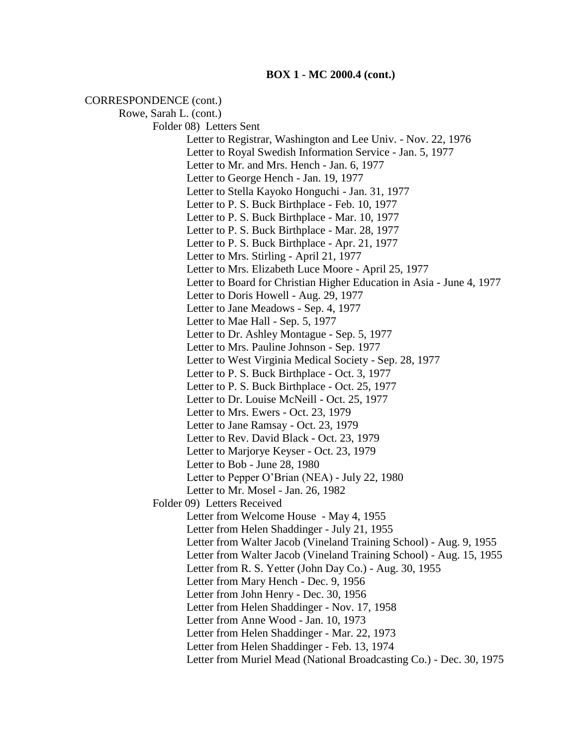#### **BOX 1 - MC 2000.4 (cont.)**

CORRESPONDENCE (cont.) Rowe, Sarah L. (cont.) Folder 08) Letters Sent Letter to Registrar, Washington and Lee Univ. - Nov. 22, 1976 Letter to Royal Swedish Information Service - Jan. 5, 1977 Letter to Mr. and Mrs. Hench - Jan. 6, 1977 Letter to George Hench - Jan. 19, 1977 Letter to Stella Kayoko Honguchi - Jan. 31, 1977 Letter to P. S. Buck Birthplace - Feb. 10, 1977 Letter to P. S. Buck Birthplace - Mar. 10, 1977 Letter to P. S. Buck Birthplace - Mar. 28, 1977 Letter to P. S. Buck Birthplace - Apr. 21, 1977 Letter to Mrs. Stirling - April 21, 1977 Letter to Mrs. Elizabeth Luce Moore - April 25, 1977 Letter to Board for Christian Higher Education in Asia - June 4, 1977 Letter to Doris Howell - Aug. 29, 1977 Letter to Jane Meadows - Sep. 4, 1977 Letter to Mae Hall - Sep. 5, 1977 Letter to Dr. Ashley Montague - Sep. 5, 1977 Letter to Mrs. Pauline Johnson - Sep. 1977 Letter to West Virginia Medical Society - Sep. 28, 1977 Letter to P. S. Buck Birthplace - Oct. 3, 1977 Letter to P. S. Buck Birthplace - Oct. 25, 1977 Letter to Dr. Louise McNeill - Oct. 25, 1977 Letter to Mrs. Ewers - Oct. 23, 1979 Letter to Jane Ramsay - Oct. 23, 1979 Letter to Rev. David Black - Oct. 23, 1979 Letter to Marjorye Keyser - Oct. 23, 1979 Letter to Bob - June 28, 1980 Letter to Pepper O'Brian (NEA) - July 22, 1980 Letter to Mr. Mosel - Jan. 26, 1982 Folder 09) Letters Received Letter from Welcome House - May 4, 1955 Letter from Helen Shaddinger - July 21, 1955 Letter from Walter Jacob (Vineland Training School) - Aug. 9, 1955 Letter from Walter Jacob (Vineland Training School) - Aug. 15, 1955 Letter from R. S. Yetter (John Day Co.) - Aug. 30, 1955 Letter from Mary Hench - Dec. 9, 1956 Letter from John Henry - Dec. 30, 1956 Letter from Helen Shaddinger - Nov. 17, 1958 Letter from Anne Wood - Jan. 10, 1973 Letter from Helen Shaddinger - Mar. 22, 1973 Letter from Helen Shaddinger - Feb. 13, 1974 Letter from Muriel Mead (National Broadcasting Co.) - Dec. 30, 1975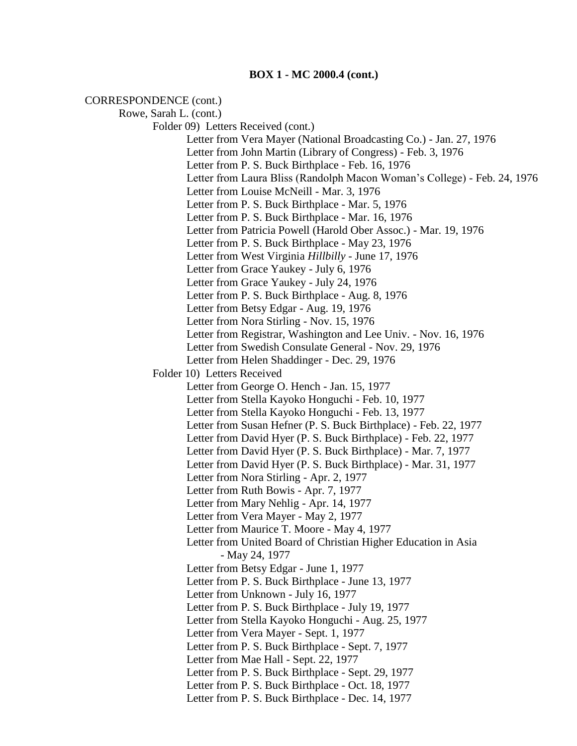### CORRESPONDENCE (cont.)

Rowe, Sarah L. (cont.) Folder 09) Letters Received (cont.) Letter from Vera Mayer (National Broadcasting Co.) - Jan. 27, 1976 Letter from John Martin (Library of Congress) - Feb. 3, 1976 Letter from P. S. Buck Birthplace - Feb. 16, 1976 Letter from Laura Bliss (Randolph Macon Woman's College) - Feb. 24, 1976 Letter from Louise McNeill - Mar. 3, 1976 Letter from P. S. Buck Birthplace - Mar. 5, 1976 Letter from P. S. Buck Birthplace - Mar. 16, 1976 Letter from Patricia Powell (Harold Ober Assoc.) - Mar. 19, 1976 Letter from P. S. Buck Birthplace - May 23, 1976 Letter from West Virginia *Hillbilly* - June 17, 1976 Letter from Grace Yaukey - July 6, 1976 Letter from Grace Yaukey - July 24, 1976 Letter from P. S. Buck Birthplace - Aug. 8, 1976 Letter from Betsy Edgar - Aug. 19, 1976 Letter from Nora Stirling - Nov. 15, 1976 Letter from Registrar, Washington and Lee Univ. - Nov. 16, 1976 Letter from Swedish Consulate General - Nov. 29, 1976 Letter from Helen Shaddinger - Dec. 29, 1976 Folder 10) Letters Received Letter from George O. Hench - Jan. 15, 1977 Letter from Stella Kayoko Honguchi - Feb. 10, 1977 Letter from Stella Kayoko Honguchi - Feb. 13, 1977 Letter from Susan Hefner (P. S. Buck Birthplace) - Feb. 22, 1977 Letter from David Hyer (P. S. Buck Birthplace) - Feb. 22, 1977 Letter from David Hyer (P. S. Buck Birthplace) - Mar. 7, 1977 Letter from David Hyer (P. S. Buck Birthplace) - Mar. 31, 1977 Letter from Nora Stirling - Apr. 2, 1977 Letter from Ruth Bowis - Apr. 7, 1977 Letter from Mary Nehlig - Apr. 14, 1977 Letter from Vera Mayer - May 2, 1977 Letter from Maurice T. Moore - May 4, 1977 Letter from United Board of Christian Higher Education in Asia - May 24, 1977 Letter from Betsy Edgar - June 1, 1977 Letter from P. S. Buck Birthplace - June 13, 1977 Letter from Unknown - July 16, 1977 Letter from P. S. Buck Birthplace - July 19, 1977 Letter from Stella Kayoko Honguchi - Aug. 25, 1977 Letter from Vera Mayer - Sept. 1, 1977 Letter from P. S. Buck Birthplace - Sept. 7, 1977 Letter from Mae Hall - Sept. 22, 1977 Letter from P. S. Buck Birthplace - Sept. 29, 1977 Letter from P. S. Buck Birthplace - Oct. 18, 1977 Letter from P. S. Buck Birthplace - Dec. 14, 1977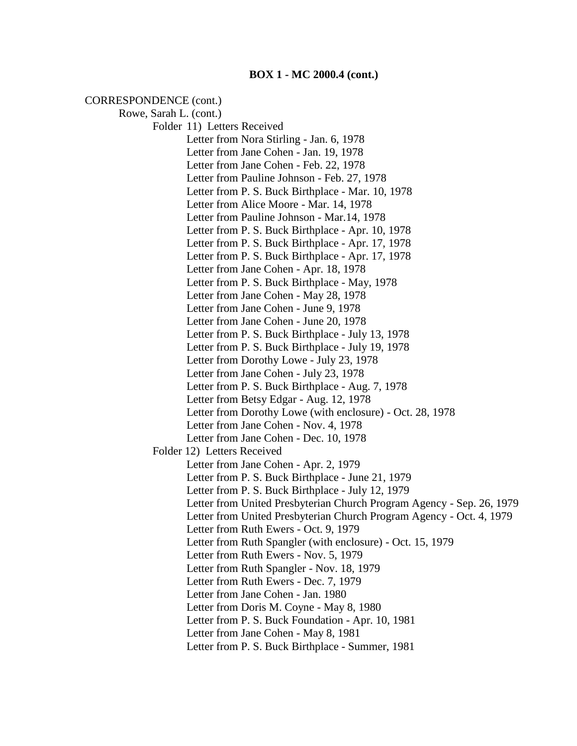CORRESPONDENCE (cont.) Rowe, Sarah L. (cont.) Folder 11) Letters Received Letter from Nora Stirling - Jan. 6, 1978 Letter from Jane Cohen - Jan. 19, 1978 Letter from Jane Cohen - Feb. 22, 1978 Letter from Pauline Johnson - Feb. 27, 1978 Letter from P. S. Buck Birthplace - Mar. 10, 1978 Letter from Alice Moore - Mar. 14, 1978 Letter from Pauline Johnson - Mar.14, 1978 Letter from P. S. Buck Birthplace - Apr. 10, 1978 Letter from P. S. Buck Birthplace - Apr. 17, 1978 Letter from P. S. Buck Birthplace - Apr. 17, 1978 Letter from Jane Cohen - Apr. 18, 1978 Letter from P. S. Buck Birthplace - May, 1978 Letter from Jane Cohen - May 28, 1978 Letter from Jane Cohen - June 9, 1978 Letter from Jane Cohen - June 20, 1978 Letter from P. S. Buck Birthplace - July 13, 1978 Letter from P. S. Buck Birthplace - July 19, 1978 Letter from Dorothy Lowe - July 23, 1978 Letter from Jane Cohen - July 23, 1978 Letter from P. S. Buck Birthplace - Aug. 7, 1978 Letter from Betsy Edgar - Aug. 12, 1978 Letter from Dorothy Lowe (with enclosure) - Oct. 28, 1978 Letter from Jane Cohen - Nov. 4, 1978 Letter from Jane Cohen - Dec. 10, 1978 Folder 12) Letters Received Letter from Jane Cohen - Apr. 2, 1979 Letter from P. S. Buck Birthplace - June 21, 1979 Letter from P. S. Buck Birthplace - July 12, 1979 Letter from United Presbyterian Church Program Agency - Sep. 26, 1979 Letter from United Presbyterian Church Program Agency - Oct. 4, 1979 Letter from Ruth Ewers - Oct. 9, 1979 Letter from Ruth Spangler (with enclosure) - Oct. 15, 1979 Letter from Ruth Ewers - Nov. 5, 1979 Letter from Ruth Spangler - Nov. 18, 1979 Letter from Ruth Ewers - Dec. 7, 1979 Letter from Jane Cohen - Jan. 1980 Letter from Doris M. Coyne - May 8, 1980 Letter from P. S. Buck Foundation - Apr. 10, 1981 Letter from Jane Cohen - May 8, 1981

Letter from P. S. Buck Birthplace - Summer, 1981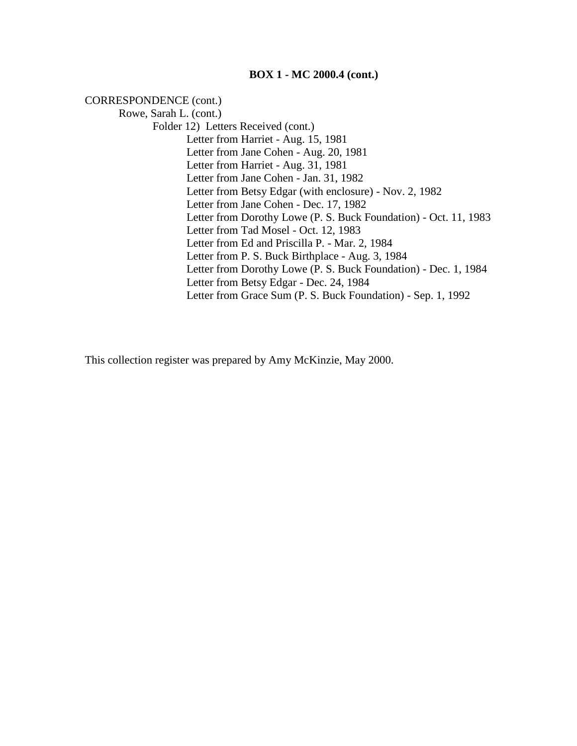## **BOX 1 - MC 2000.4 (cont.)**

CORRESPONDENCE (cont.)

Rowe, Sarah L. (cont.) Folder 12) Letters Received (cont.) Letter from Harriet - Aug. 15, 1981 Letter from Jane Cohen - Aug. 20, 1981 Letter from Harriet - Aug. 31, 1981 Letter from Jane Cohen - Jan. 31, 1982 Letter from Betsy Edgar (with enclosure) - Nov. 2, 1982 Letter from Jane Cohen - Dec. 17, 1982 Letter from Dorothy Lowe (P. S. Buck Foundation) - Oct. 11, 1983 Letter from Tad Mosel - Oct. 12, 1983 Letter from Ed and Priscilla P. - Mar. 2, 1984 Letter from P. S. Buck Birthplace - Aug. 3, 1984 Letter from Dorothy Lowe (P. S. Buck Foundation) - Dec. 1, 1984 Letter from Betsy Edgar - Dec. 24, 1984 Letter from Grace Sum (P. S. Buck Foundation) - Sep. 1, 1992

This collection register was prepared by Amy McKinzie, May 2000.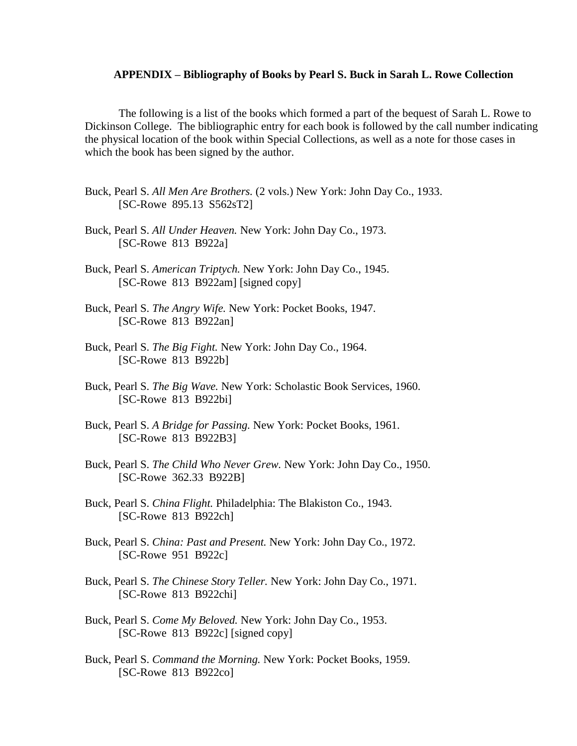#### **APPENDIX – Bibliography of Books by Pearl S. Buck in Sarah L. Rowe Collection**

The following is a list of the books which formed a part of the bequest of Sarah L. Rowe to Dickinson College. The bibliographic entry for each book is followed by the call number indicating the physical location of the book within Special Collections, as well as a note for those cases in which the book has been signed by the author.

- Buck, Pearl S. *All Men Are Brothers.* (2 vols.) New York: John Day Co., 1933. [SC-Rowe 895.13 S562sT2]
- Buck, Pearl S. *All Under Heaven.* New York: John Day Co., 1973. [SC-Rowe 813 B922a]
- Buck, Pearl S. *American Triptych.* New York: John Day Co., 1945. [SC-Rowe 813 B922am] [signed copy]
- Buck, Pearl S. *The Angry Wife.* New York: Pocket Books, 1947. [SC-Rowe 813 B922an]
- Buck, Pearl S. *The Big Fight.* New York: John Day Co., 1964. [SC-Rowe 813 B922b]
- Buck, Pearl S. *The Big Wave.* New York: Scholastic Book Services, 1960. [SC-Rowe 813 B922bi]
- Buck, Pearl S. *A Bridge for Passing.* New York: Pocket Books, 1961. [SC-Rowe 813 B922B3]
- Buck, Pearl S. *The Child Who Never Grew.* New York: John Day Co., 1950. [SC-Rowe 362.33 B922B]
- Buck, Pearl S. *China Flight.* Philadelphia: The Blakiston Co., 1943. [SC-Rowe 813 B922ch]
- Buck, Pearl S. *China: Past and Present.* New York: John Day Co., 1972. [SC-Rowe 951 B922c]
- Buck, Pearl S. *The Chinese Story Teller.* New York: John Day Co., 1971. [SC-Rowe 813 B922chi]
- Buck, Pearl S. *Come My Beloved.* New York: John Day Co., 1953. [SC-Rowe 813 B922c] [signed copy]
- Buck, Pearl S. *Command the Morning.* New York: Pocket Books, 1959. [SC-Rowe 813 B922co]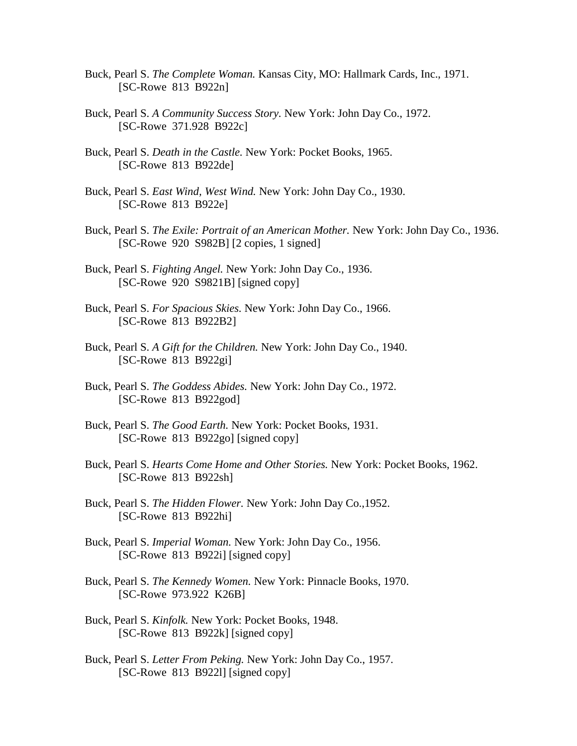- Buck, Pearl S. *The Complete Woman.* Kansas City, MO: Hallmark Cards, Inc., 1971. [SC-Rowe 813 B922n]
- Buck, Pearl S. *A Community Success Story.* New York: John Day Co., 1972. [SC-Rowe 371.928 B922c]
- Buck, Pearl S. *Death in the Castle.* New York: Pocket Books, 1965. [SC-Rowe 813 B922de]
- Buck, Pearl S. *East Wind, West Wind.* New York: John Day Co., 1930. [SC-Rowe 813 B922e]
- Buck, Pearl S. *The Exile: Portrait of an American Mother.* New York: John Day Co., 1936. [SC-Rowe 920 S982B] [2 copies, 1 signed]
- Buck, Pearl S. *Fighting Angel.* New York: John Day Co., 1936. [SC-Rowe 920 S9821B] [signed copy]
- Buck, Pearl S. *For Spacious Skies.* New York: John Day Co., 1966. [SC-Rowe 813 B922B2]
- Buck, Pearl S. *A Gift for the Children.* New York: John Day Co., 1940. [SC-Rowe 813 B922gi]
- Buck, Pearl S. *The Goddess Abides.* New York: John Day Co., 1972. [SC-Rowe 813 B922god]
- Buck, Pearl S. *The Good Earth.* New York: Pocket Books, 1931. [SC-Rowe 813 B922go] [signed copy]
- Buck, Pearl S. *Hearts Come Home and Other Stories.* New York: Pocket Books, 1962. [SC-Rowe 813 B922sh]
- Buck, Pearl S. *The Hidden Flower.* New York: John Day Co.,1952. [SC-Rowe 813 B922hi]
- Buck, Pearl S. *Imperial Woman.* New York: John Day Co., 1956. [SC-Rowe 813 B922i] [signed copy]
- Buck, Pearl S. *The Kennedy Women.* New York: Pinnacle Books, 1970. [SC-Rowe 973.922 K26B]
- Buck, Pearl S. *Kinfolk.* New York: Pocket Books, 1948. [SC-Rowe 813 B922k] [signed copy]
- Buck, Pearl S. *Letter From Peking.* New York: John Day Co., 1957. [SC-Rowe 813 B922l] [signed copy]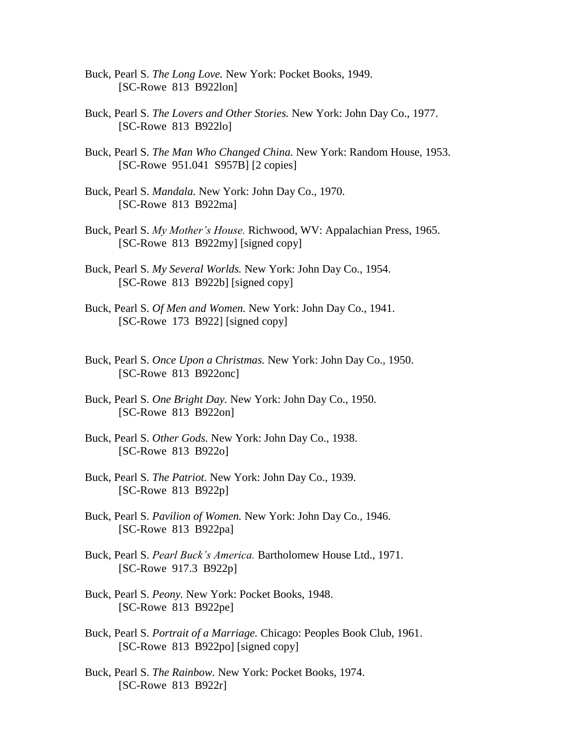- Buck, Pearl S. *The Long Love.* New York: Pocket Books, 1949. [SC-Rowe 813 B922lon]
- Buck, Pearl S. *The Lovers and Other Stories.* New York: John Day Co., 1977. [SC-Rowe 813 B922lo]
- Buck, Pearl S. *The Man Who Changed China.* New York: Random House, 1953. [SC-Rowe 951.041 S957B] [2 copies]
- Buck, Pearl S. *Mandala.* New York: John Day Co., 1970. [SC-Rowe 813 B922ma]
- Buck, Pearl S. *My Mother's House.* Richwood, WV: Appalachian Press, 1965. [SC-Rowe 813 B922my] [signed copy]
- Buck, Pearl S. *My Several Worlds.* New York: John Day Co., 1954. [SC-Rowe 813 B922b] [signed copy]
- Buck, Pearl S. *Of Men and Women.* New York: John Day Co., 1941. [SC-Rowe 173 B922] [signed copy]
- Buck, Pearl S. *Once Upon a Christmas.* New York: John Day Co., 1950. [SC-Rowe 813 B922onc]
- Buck, Pearl S. *One Bright Day.* New York: John Day Co., 1950. [SC-Rowe 813 B922on]
- Buck, Pearl S. *Other Gods.* New York: John Day Co., 1938. [SC-Rowe 813 B922o]
- Buck, Pearl S. *The Patriot.* New York: John Day Co., 1939. [SC-Rowe 813 B922p]
- Buck, Pearl S. *Pavilion of Women.* New York: John Day Co., 1946. [SC-Rowe 813 B922pa]
- Buck, Pearl S. *Pearl Buck's America.* Bartholomew House Ltd., 1971. [SC-Rowe 917.3 B922p]
- Buck, Pearl S. *Peony.* New York: Pocket Books, 1948. [SC-Rowe 813 B922pe]
- Buck, Pearl S. *Portrait of a Marriage.* Chicago: Peoples Book Club, 1961. [SC-Rowe 813 B922po] [signed copy]
- Buck, Pearl S. *The Rainbow.* New York: Pocket Books, 1974. [SC-Rowe 813 B922r]